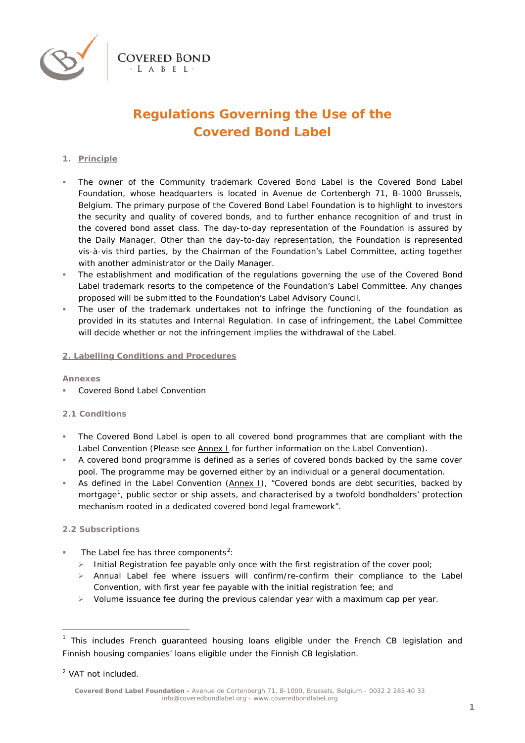

# **Regulations Governing the Use of the Covered Bond Label**

## **1. Principle**

- The owner of the Community trademark Covered Bond Label is the Covered Bond Label Foundation, whose headquarters is located in Avenue de Cortenbergh 71, B-1000 Brussels, Belgium. The primary purpose of the Covered Bond Label Foundation is to highlight to investors the security and quality of covered bonds, and to further enhance recognition of and trust in the covered bond asset class. The day-to-day representation of the Foundation is assured by the Daily Manager. Other than the day-to-day representation, the Foundation is represented vis-à-vis third parties, by the Chairman of the Foundation's Label Committee, acting together with another administrator or the Daily Manager.
- The establishment and modification of the regulations governing the use of the Covered Bond Label trademark resorts to the competence of the Foundation's Label Committee. Any changes proposed will be submitted to the Foundation's Label Advisory Council.
- The user of the trademark undertakes not to infringe the functioning of the foundation as provided in its statutes and Internal Regulation. In case of infringement, the Label Committee will decide whether or not the infringement implies the withdrawal of the Label.

## **2. Labelling Conditions and Procedures**

#### **Annexes**

Covered Bond Label Convention

## **2.1 Conditions**

- The Covered Bond Label is open to all covered bond programmes that are compliant with the Label Convention (Please see *Annex I* for further information on the Label Convention).
- A covered bond programme is defined as a series of covered bonds backed by the same cover pool. The programme may be governed either by an individual or a general documentation.
- As defined in the Label Convention (*Annex I*), "*Covered bonds are debt securities, backed by mortgage[1](#page-4-0) , public sector or ship assets, and characterised by a twofold bondholders' protection mechanism rooted in a dedicated covered bond legal framework*".

## **2.2 Subscriptions**

- $\blacksquare$  The Label fee has three components<sup>[2](#page-0-0)</sup>:
	- $\triangleright$  Initial Registration fee payable only once with the first registration of the cover pool;
	- $\triangleright$  Annual Label fee where issuers will confirm/re-confirm their compliance to the Label Convention, with first year fee payable with the initial registration fee; and
	- $\triangleright$  Volume issuance fee during the previous calendar year with a maximum cap per year.

 $1$  This includes French guaranteed housing loans eligible under the French CB legislation and Finnish housing companies' loans eligible under the Finnish CB legislation.

<span id="page-0-0"></span><sup>2</sup> VAT not included.

**Covered Bond Label Foundation -** Avenue de Cortenbergh 71, B-1000, Brussels, Belgium - 0032 2 285 40 33 info@coveredbondlabel.org - [www.coveredbondlabel.org](http://www.coveredbondlabel.org/)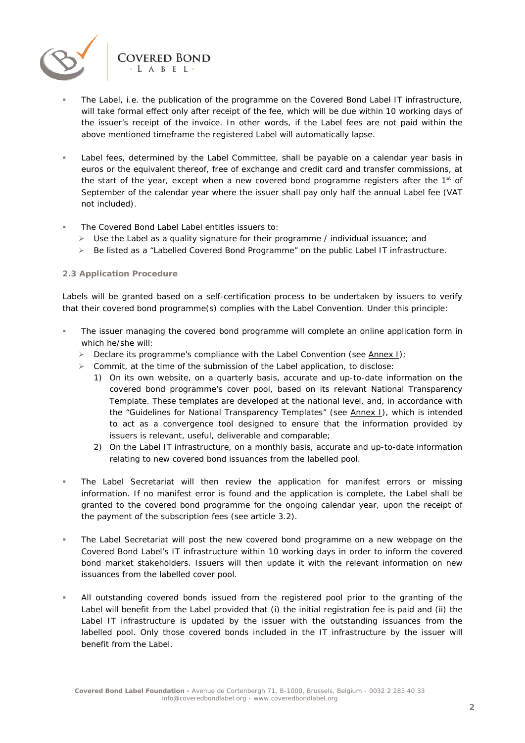

- Label fees, determined by the Label Committee, shall be payable on a calendar year basis in euros or the equivalent thereof, free of exchange and credit card and transfer commissions, at the start of the year, except when a new covered bond programme registers after the  $1<sup>st</sup>$  of September of the calendar year where the issuer shall pay only half the annual Label fee (VAT not included).
- The Covered Bond Label Label entitles issuers to:

**COVERED BOND**  $\cdot$   $A$   $R$   $F$   $I$ 

- $\triangleright$  Use the Label as a quality signature for their programme / individual issuance; and
- $\triangleright$  Be listed as a "Labelled Covered Bond Programme" on the public Label IT infrastructure.

#### **2.3 Application Procedure**

Labels will be granted based on a self-certification process to be undertaken by issuers to verify that their covered bond programme(s) complies with the Label Convention. Under this principle:

- The issuer managing the covered bond programme will complete an online application form in which he/she will:
	- Declare its programme's compliance with the Label Convention (see *Annex I*);
	- $\triangleright$  Commit, at the time of the submission of the Label application, to disclose:
		- 1) On its own website, on a quarterly basis, accurate and up-to-date information on the covered bond programme's cover pool, based on its relevant National Transparency Template. These templates are developed at the national level, and, in accordance with the "Guidelines for National Transparency Templates" (see *Annex I*), which is intended to act as a convergence tool designed to ensure that the information provided by issuers is relevant, useful, deliverable and comparable;
		- 2) On the Label IT infrastructure, on a monthly basis, accurate and up-to-date information relating to new covered bond issuances from the labelled pool.
- **The Label Secretariat will then review the application for manifest errors or missing** information. If no manifest error is found and the application is complete, the Label shall be granted to the covered bond programme for the ongoing calendar year, upon the receipt of the payment of the subscription fees (see article 3.2).
- The Label Secretariat will post the new covered bond programme on a new webpage on the Covered Bond Label's IT infrastructure within 10 working days in order to inform the covered bond market stakeholders. Issuers will then update it with the relevant information on new issuances from the labelled cover pool.
- All outstanding covered bonds issued from the registered pool prior to the granting of the Label will benefit from the Label provided that (i) the initial registration fee is paid and (ii) the Label IT infrastructure is updated by the issuer with the outstanding issuances from the labelled pool. Only those covered bonds included in the IT infrastructure by the issuer will benefit from the Label.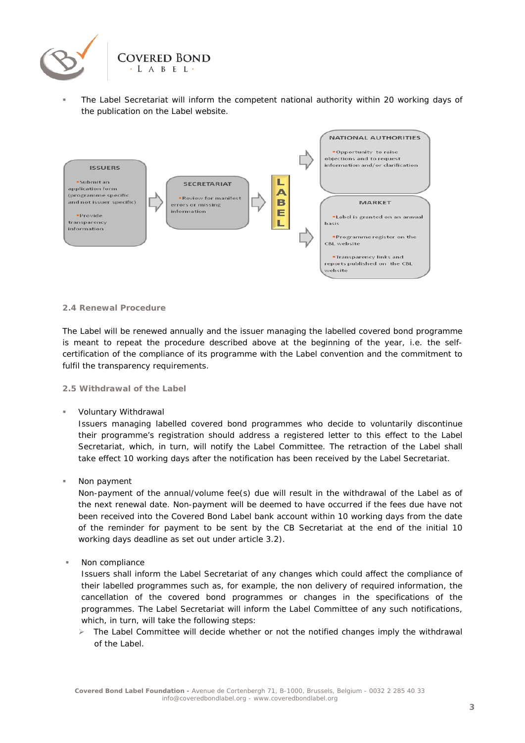

 The Label Secretariat will inform the competent national authority within 20 working days of the publication on the Label website.



#### **2.4 Renewal Procedure**

The Label will be renewed annually and the issuer managing the labelled covered bond programme is meant to repeat the procedure described above at the beginning of the year, i.e. the selfcertification of the compliance of its programme with the Label convention and the commitment to fulfil the transparency requirements.

#### **2.5 Withdrawal of the Label**

Voluntary Withdrawal

Issuers managing labelled covered bond programmes who decide to voluntarily discontinue their programme's registration should address a registered letter to this effect to the Label Secretariat, which, in turn, will notify the Label Committee. The retraction of the Label shall take effect 10 working days after the notification has been received by the Label Secretariat.

**Non payment** 

Non-payment of the annual/volume fee(s) due will result in the withdrawal of the Label as of the next renewal date. Non-payment will be deemed to have occurred if the fees due have not been received into the Covered Bond Label bank account within 10 working days from the date of the reminder for payment to be sent by the CB Secretariat at the end of the initial 10 working days deadline as set out under article 3.2).

Non compliance

Issuers shall inform the Label Secretariat of any changes which could affect the compliance of their labelled programmes such as, for example, the non delivery of required information, the cancellation of the covered bond programmes or changes in the specifications of the programmes. The Label Secretariat will inform the Label Committee of any such notifications, which, in turn, will take the following steps:

 The Label Committee will decide whether or not the notified changes imply the withdrawal of the Label.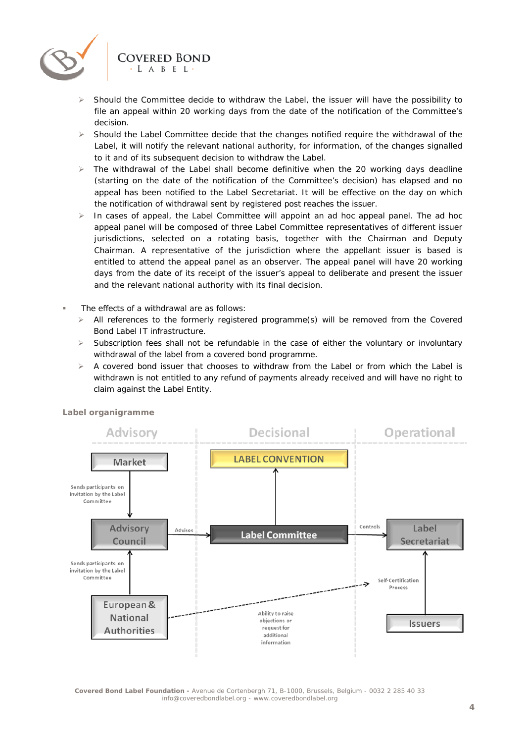

- Should the Committee decide to withdraw the Label, the issuer will have the possibility to file an appeal within 20 working days from the date of the notification of the Committee's decision.
- $\triangleright$  Should the Label Committee decide that the changes notified require the withdrawal of the Label, it will notify the relevant national authority, for information, of the changes signalled to it and of its subsequent decision to withdraw the Label.
- $\triangleright$  The withdrawal of the Label shall become definitive when the 20 working days deadline (starting on the date of the notification of the Committee's decision) has elapsed and no appeal has been notified to the Label Secretariat. It will be effective on the day on which the notification of withdrawal sent by registered post reaches the issuer.
- $\triangleright$  In cases of appeal, the Label Committee will appoint an ad hoc appeal panel. The ad hoc appeal panel will be composed of three Label Committee representatives of different issuer jurisdictions, selected on a rotating basis, together with the Chairman and Deputy Chairman. A representative of the jurisdiction where the appellant issuer is based is entitled to attend the appeal panel as an observer. The appeal panel will have 20 working days from the date of its receipt of the issuer's appeal to deliberate and present the issuer and the relevant national authority with its final decision.
- The effects of a withdrawal are as follows:
	- $\triangleright$  All references to the formerly registered programme(s) will be removed from the Covered Bond Label IT infrastructure.
	- $\triangleright$  Subscription fees shall not be refundable in the case of either the voluntary or involuntary withdrawal of the label from a covered bond programme.
	- $\triangleright$  A covered bond issuer that chooses to withdraw from the Label or from which the Label is withdrawn is not entitled to any refund of payments already received and will have no right to claim against the Label Entity.



**Label organigramme**